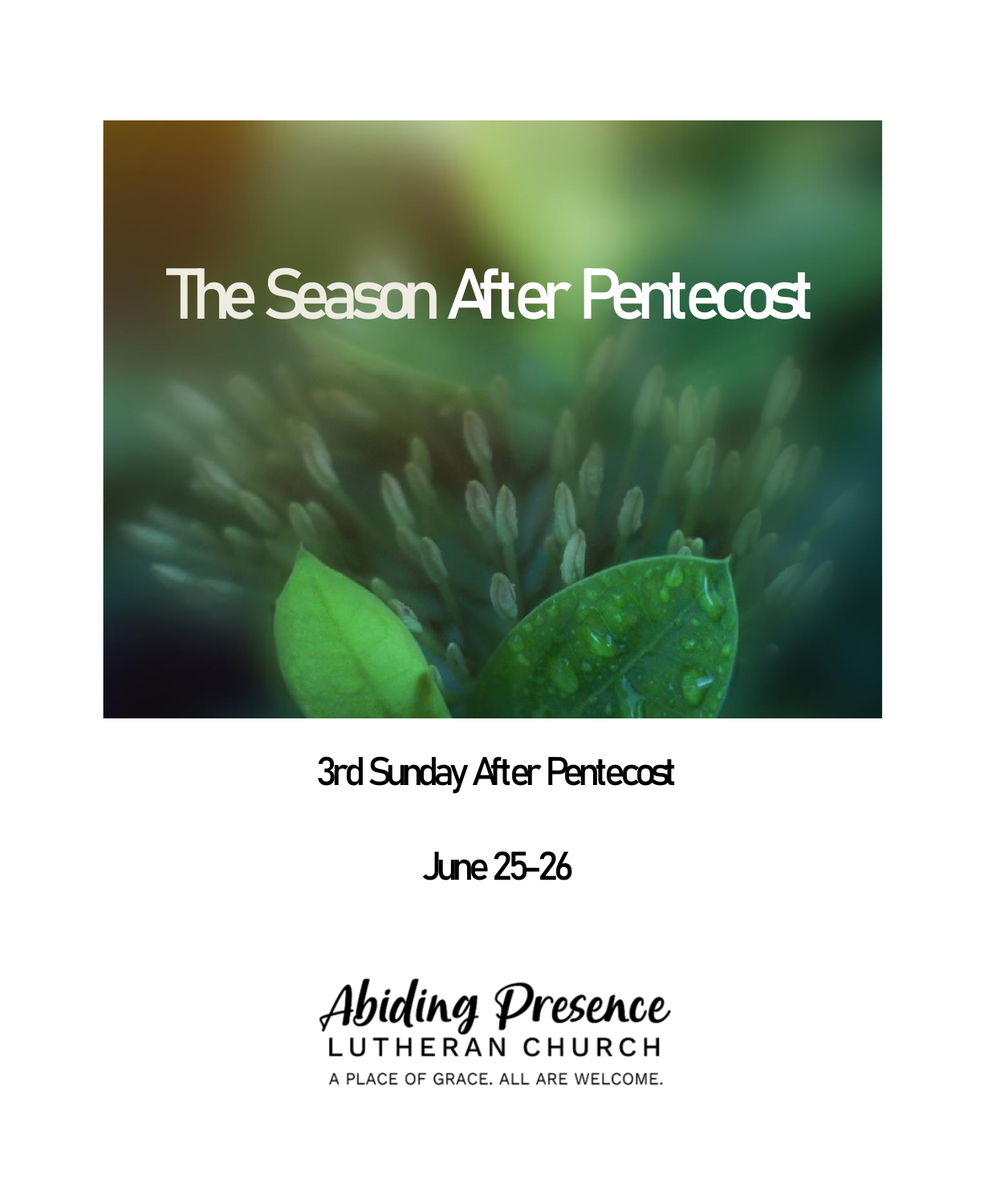

3rd Sunday After Pentecost

June 25-26



A PLACE OF GRACE. ALL ARE WELCOME.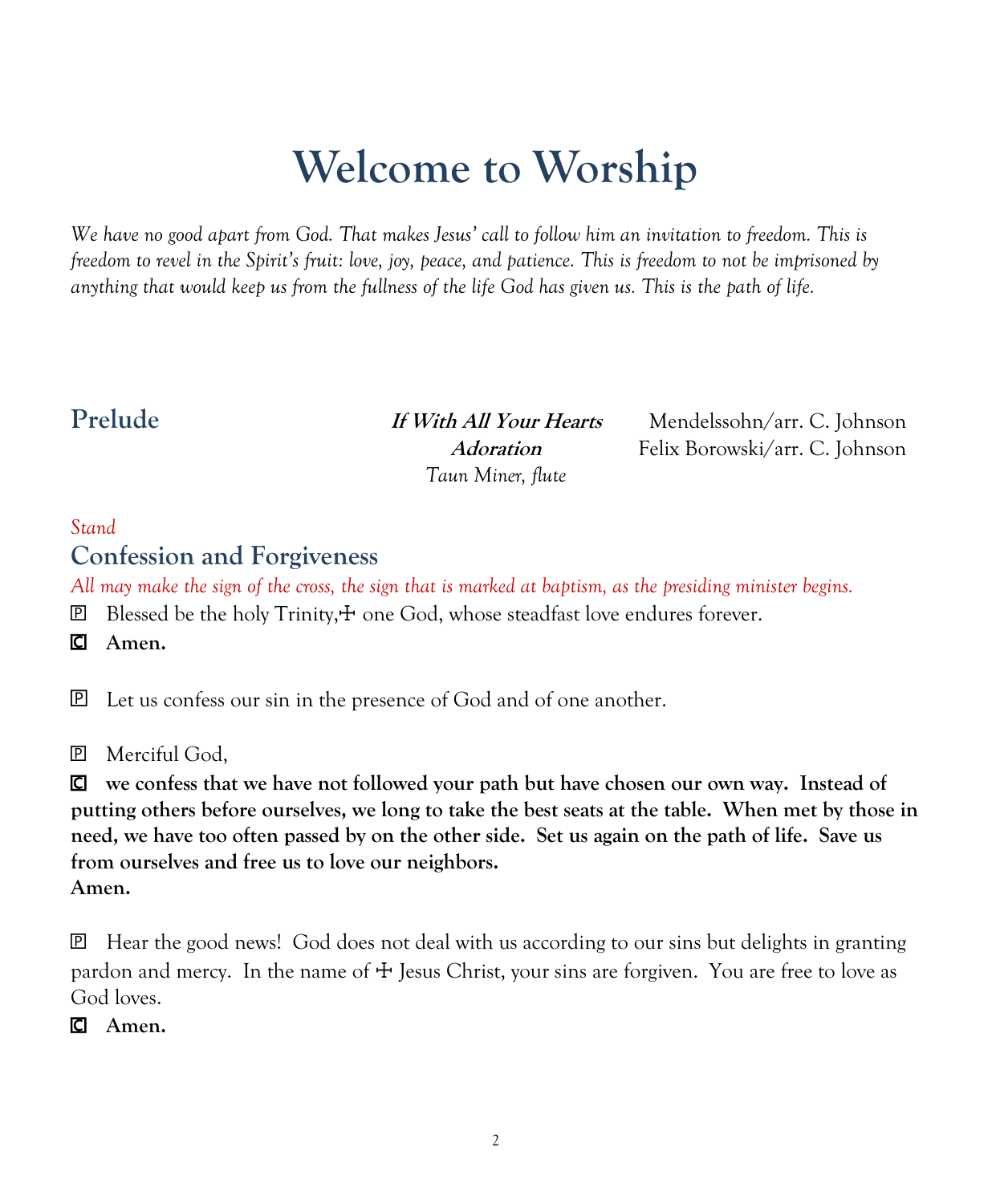# **Welcome to Worship**

*We have no good apart from God. That makes Jesus' call to follow him an invitation to freedom. This is freedom to revel in the Spirit's fruit: love, joy, peace, and patience. This is freedom to not be imprisoned by anything that would keep us from the fullness of the life God has given us. This is the path of life.*

*Taun Miner, flute*

**Prelude If With All Your Hearts** Mendelssohn/arr. C. Johnson **Adoration** Felix Borowski/arr. C. Johnson

#### *Stand*

#### **Confession and Forgiveness**

*All may make the sign of the cross, the sign that is marked at baptism, as the presiding minister begins.*

 $\mathbb{E}$  Blessed be the holy Trinity, $\pm$  one God, whose steadfast love endures forever.

**Amen.**

Let us confess our sin in the presence of God and of one another.

Merciful God,

 **we confess that we have not followed your path but have chosen our own way. Instead of putting others before ourselves, we long to take the best seats at the table. When met by those in need, we have too often passed by on the other side. Set us again on the path of life. Save us from ourselves and free us to love our neighbors. Amen.**

 Hear the good news! God does not deal with us according to our sins but delights in granting pardon and mercy. In the name of  $\pm$  Jesus Christ, your sins are forgiven. You are free to love as God loves.

**Amen.**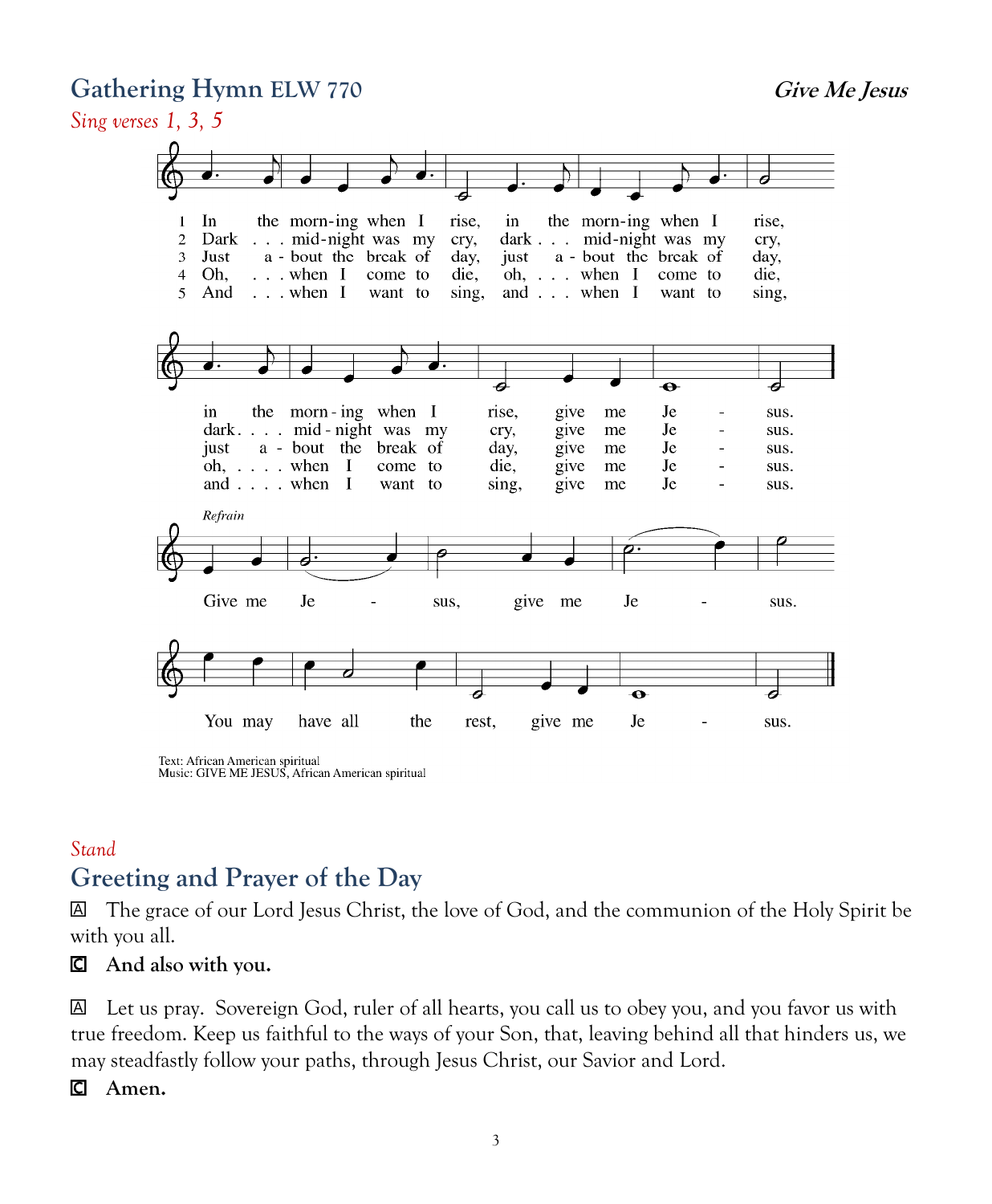#### Gathering Hymn **ELW** 770 *Give Me Jesus*





Text: African American spiritual Music: GIVE ME JESUS, African American spiritual

### *Stand* **Greeting and Prayer of the Day**

 The grace of our Lord Jesus Christ, the love of God, and the communion of the Holy Spirit be with you all.

#### **And also with you.**

 Let us pray. Sovereign God, ruler of all hearts, you call us to obey you, and you favor us with true freedom. Keep us faithful to the ways of your Son, that, leaving behind all that hinders us, we may steadfastly follow your paths, through Jesus Christ, our Savior and Lord.

#### **Amen.**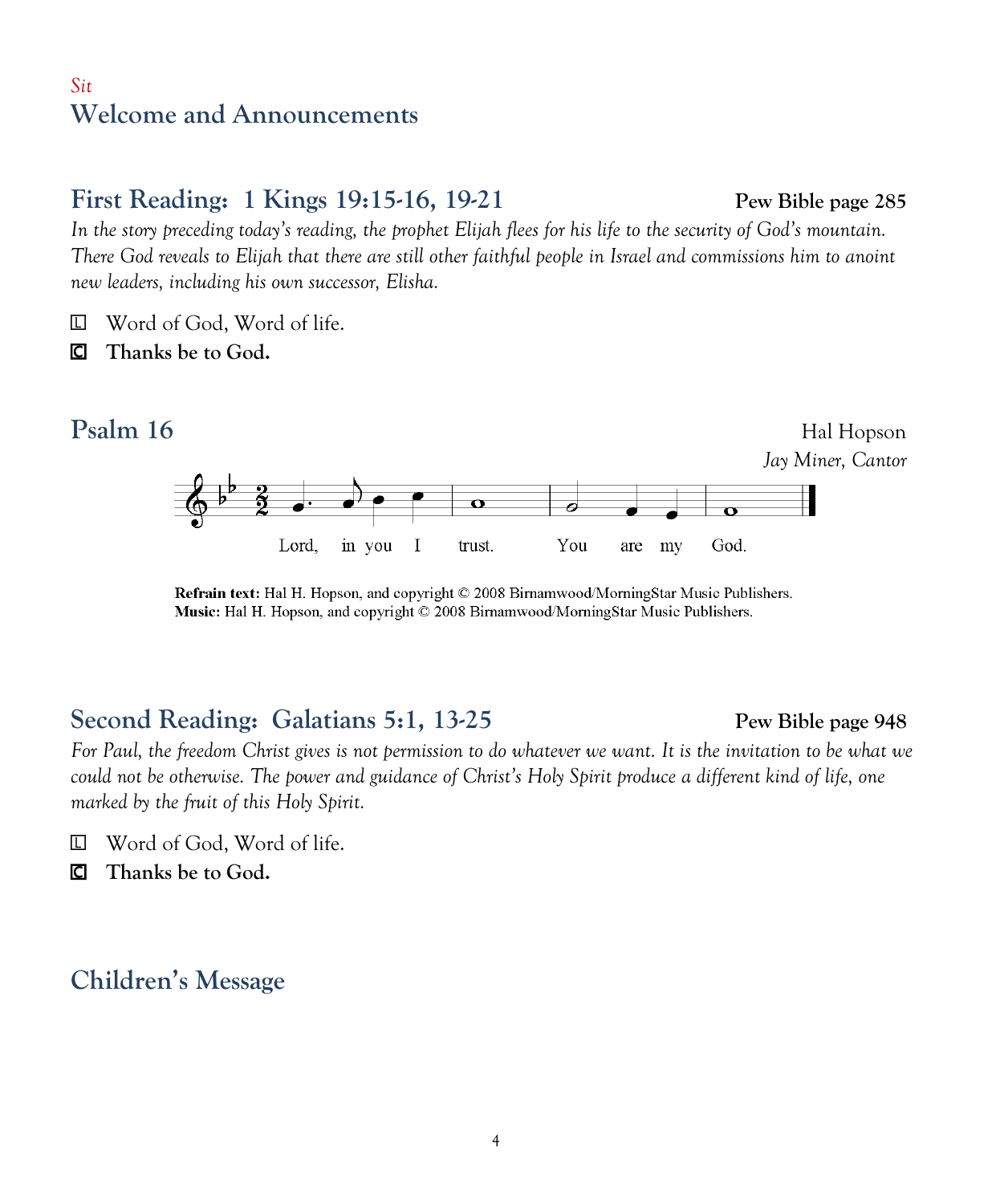#### *Sit* **Welcome and Announcements**

### **First Reading: 1 Kings 19:15-16, 19-21 Pew Bible page 285**

*In the story preceding today's reading, the prophet Elijah flees for his life to the security of God's mountain. There God reveals to Elijah that there are still other faithful people in Israel and commissions him to anoint new leaders, including his own successor, Elisha.*

- Word of God, Word of life.
- **Thanks be to God.**



Refrain text: Hal H. Hopson, and copyright © 2008 Birnamwood/MorningStar Music Publishers. Music: Hal H. Hopson, and copyright © 2008 Birnamwood/MorningStar Music Publishers.

# **Second Reading: Galatians 5:1, 13-25 Pew Bible page 948**

*For Paul, the freedom Christ gives is not permission to do whatever we want. It is the invitation to be what we could not be otherwise. The power and guidance of Christ's Holy Spirit produce a different kind of life, one marked by the fruit of this Holy Spirit.*

- Word of God, Word of life.
- **Thanks be to God.**

## **Children's Message**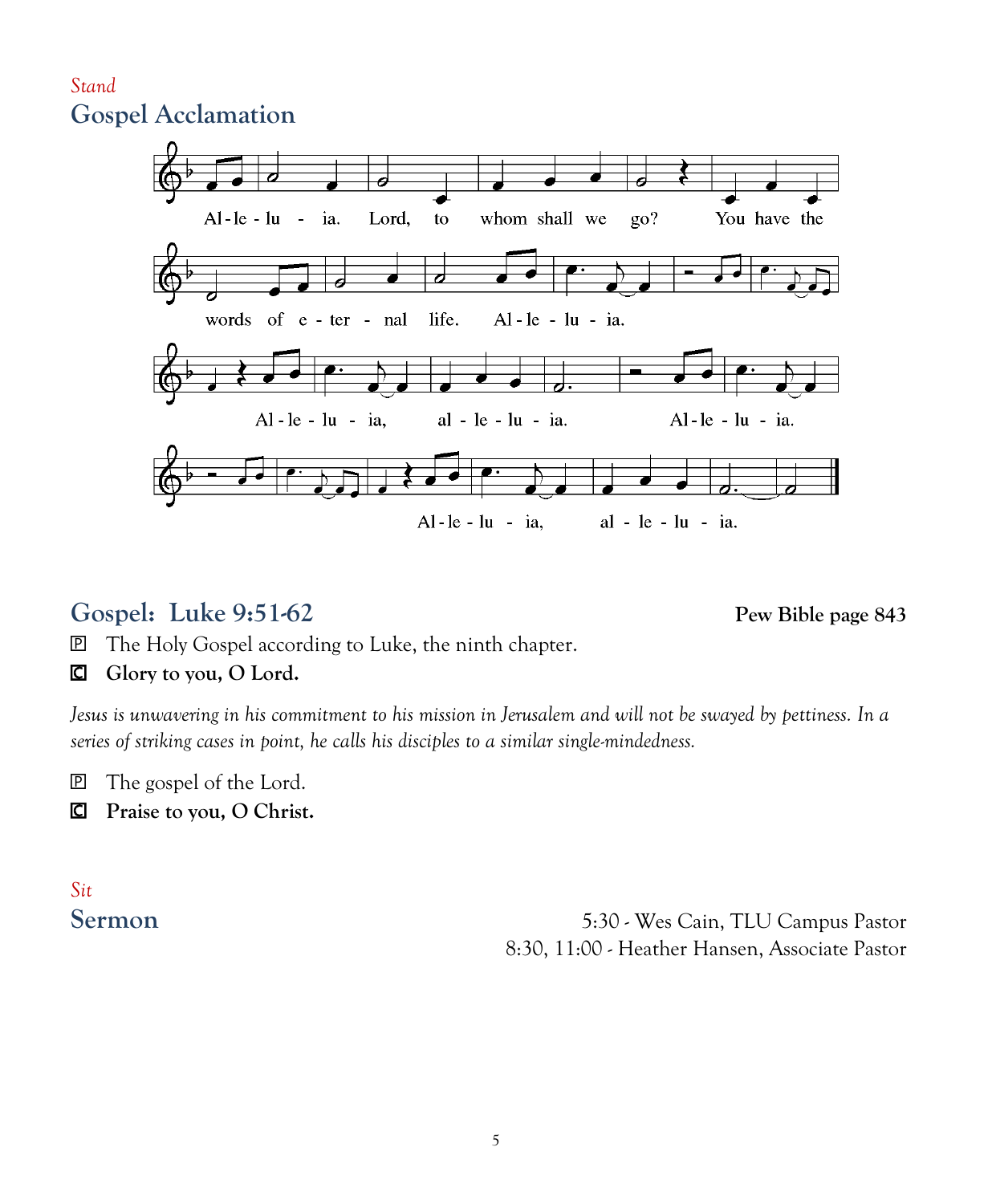#### *Stand* **Gospel Acclamation**



## **Gospel: Luke 9:51-62 Pew Bible page 843**

The Holy Gospel according to Luke, the ninth chapter.

#### **Glory to you, O Lord.**

*Jesus is unwavering in his commitment to his mission in Jerusalem and will not be swayed by pettiness. In a series of striking cases in point, he calls his disciples to a similar single-mindedness.*

The gospel of the Lord.

**Praise to you, O Christ.**

# *Sit*

**Sermon** 5:30 - Wes Cain, TLU Campus Pastor 8:30, 11:00 - Heather Hansen, Associate Pastor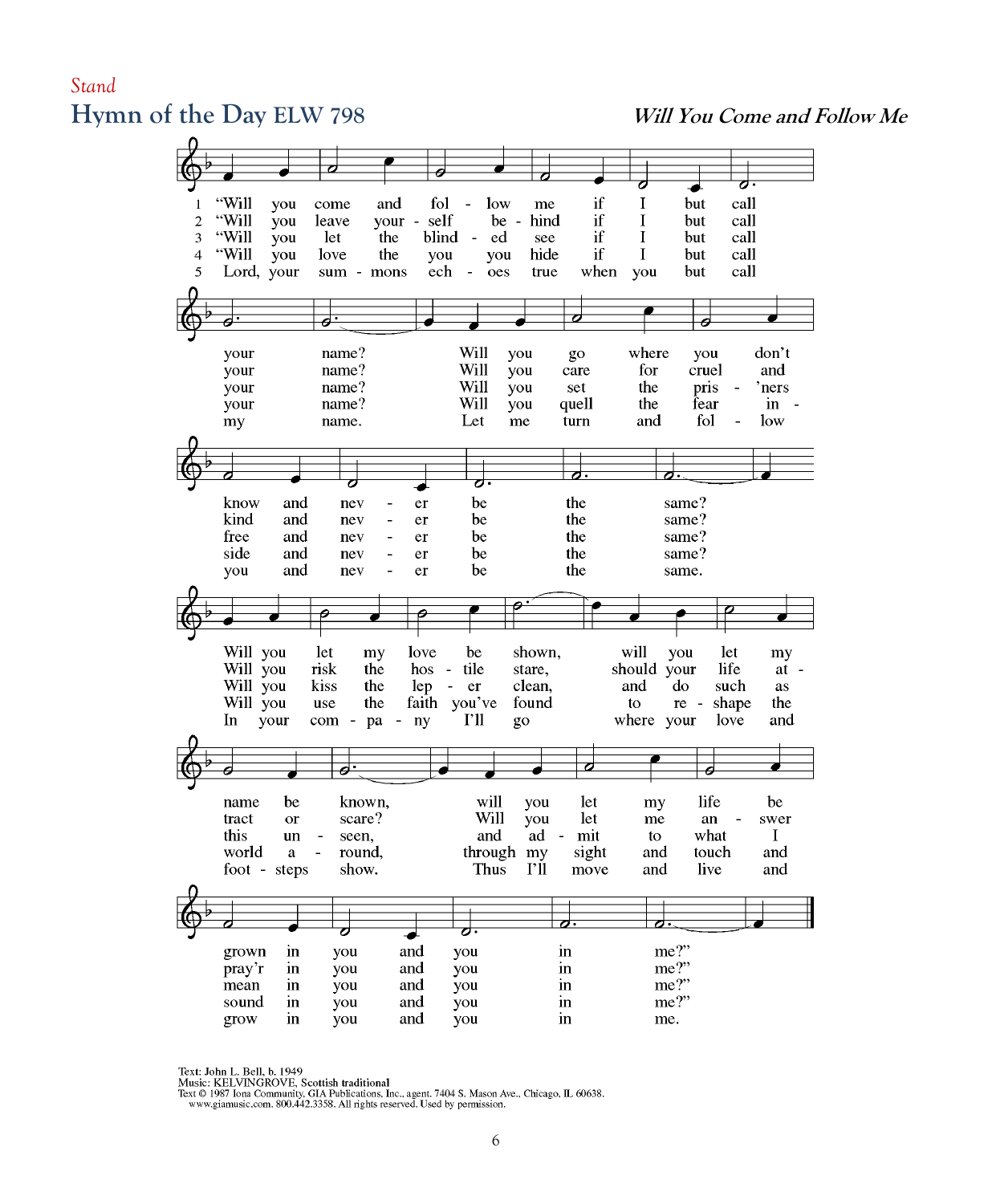#### *Stand*  **Hymn of the Day ELW 798 Will You Come and Follow Me**



Text: John L. Bell, b. 1949

Music: KELVINGROVE, Scottish traditional

FIRE OF DISTURBATION PROGRESS INC., agent. 7404 S. Mason Ave., Chicago, IL 60638.<br>Text © 1987 Iona Community, GIA Publications. Inc., agent. 7404 S. Mason Ave., Chicago, IL 60638.<br>www.giamusic.com. 800.442.3358. All rights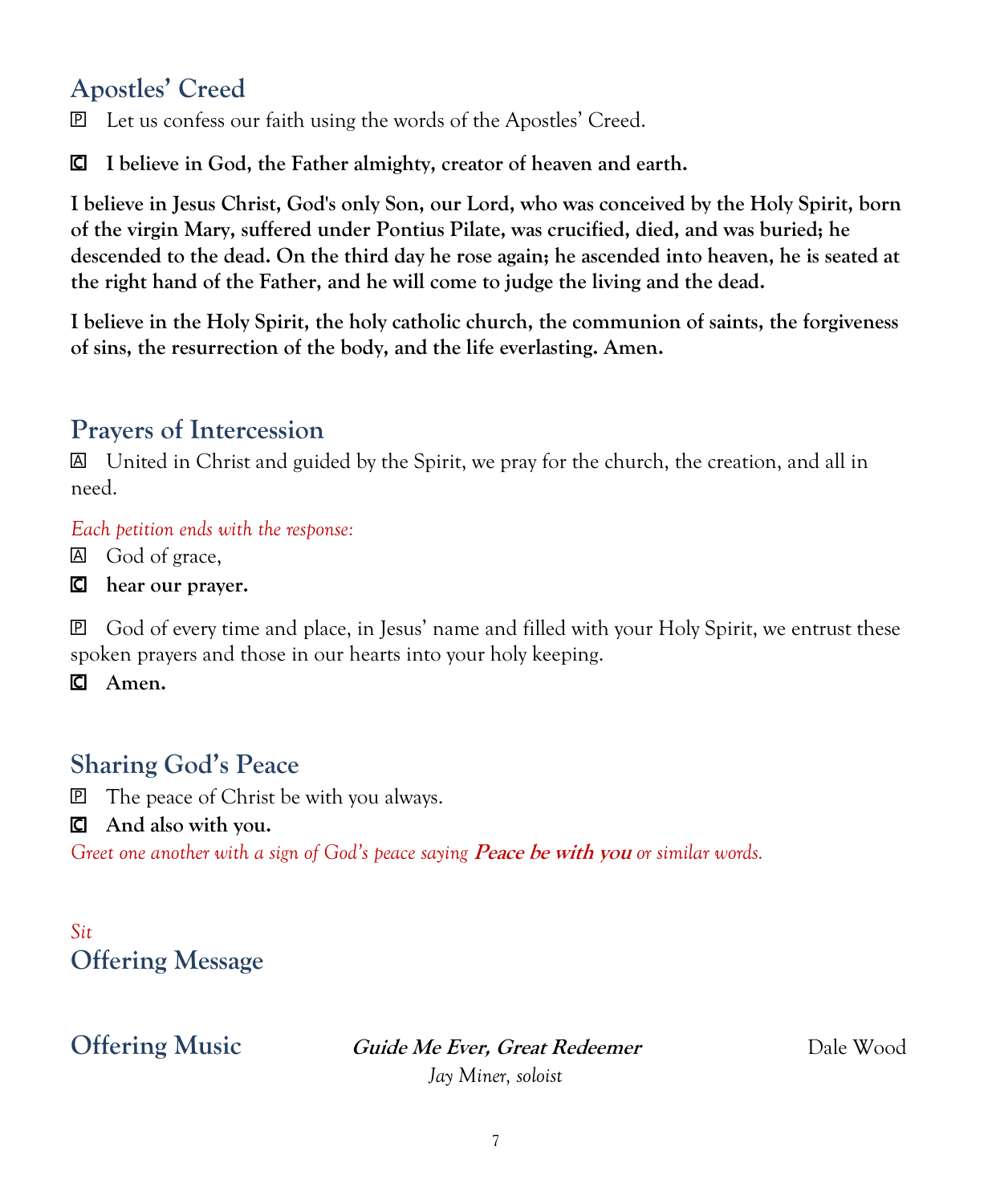# **Apostles' Creed**

Let us confess our faith using the words of the Apostles' Creed.

**I believe in God, the Father almighty, creator of heaven and earth.**

**I believe in Jesus Christ, God's only Son, our Lord, who was conceived by the Holy Spirit, born of the virgin Mary, suffered under Pontius Pilate, was crucified, died, and was buried; he descended to the dead. On the third day he rose again; he ascended into heaven, he is seated at the right hand of the Father, and he will come to judge the living and the dead.**

**I believe in the Holy Spirit, the holy catholic church, the communion of saints, the forgiveness of sins, the resurrection of the body, and the life everlasting. Amen.**

# **Prayers of Intercession**

 United in Christ and guided by the Spirit, we pray for the church, the creation, and all in need.

*Each petition ends with the response:*

God of grace,

**hear our prayer.**

 God of every time and place, in Jesus' name and filled with your Holy Spirit, we entrust these spoken prayers and those in our hearts into your holy keeping.

**Amen.**

# **Sharing God's Peace**

**P** The peace of Christ be with you always.

#### **And also with you.**

Greet one another with a sign of God's peace saying **Peace be with you** or similar words.

*Sit* **Offering Message**

**Offering Music Guide Me Ever, Great Redeemer** Dale Wood

*Jay Miner, soloist*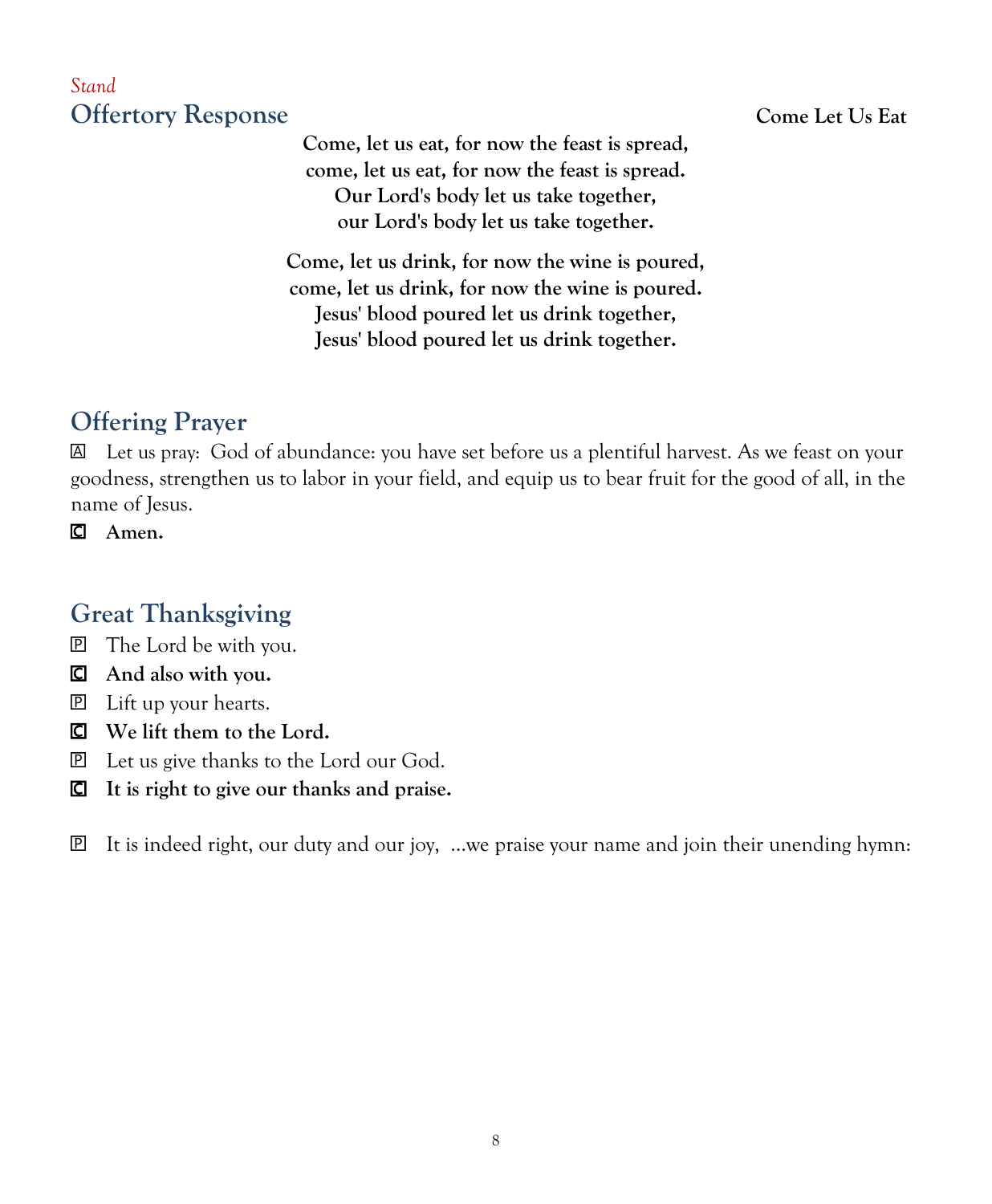### *Stand*  **Offertory Response Come Let Us Eat**

**Come, let us eat, for now the feast is spread, come, let us eat, for now the feast is spread. Our Lord's body let us take together, our Lord's body let us take together.**

**Come, let us drink, for now the wine is poured, come, let us drink, for now the wine is poured. Jesus' blood poured let us drink together, Jesus' blood poured let us drink together.**

# **Offering Prayer**

 Let us pray: God of abundance: you have set before us a plentiful harvest. As we feast on your goodness, strengthen us to labor in your field, and equip us to bear fruit for the good of all, in the name of Jesus.

**Amen.**

# **Great Thanksgiving**

- The Lord be with you.
- **And also with you.**
- Lift up your hearts.
- **We lift them to the Lord.**
- Let us give thanks to the Lord our God.
- **It is right to give our thanks and praise.**

 $\mathbb{P}$  It is indeed right, our duty and our joy, …we praise your name and join their unending hymn: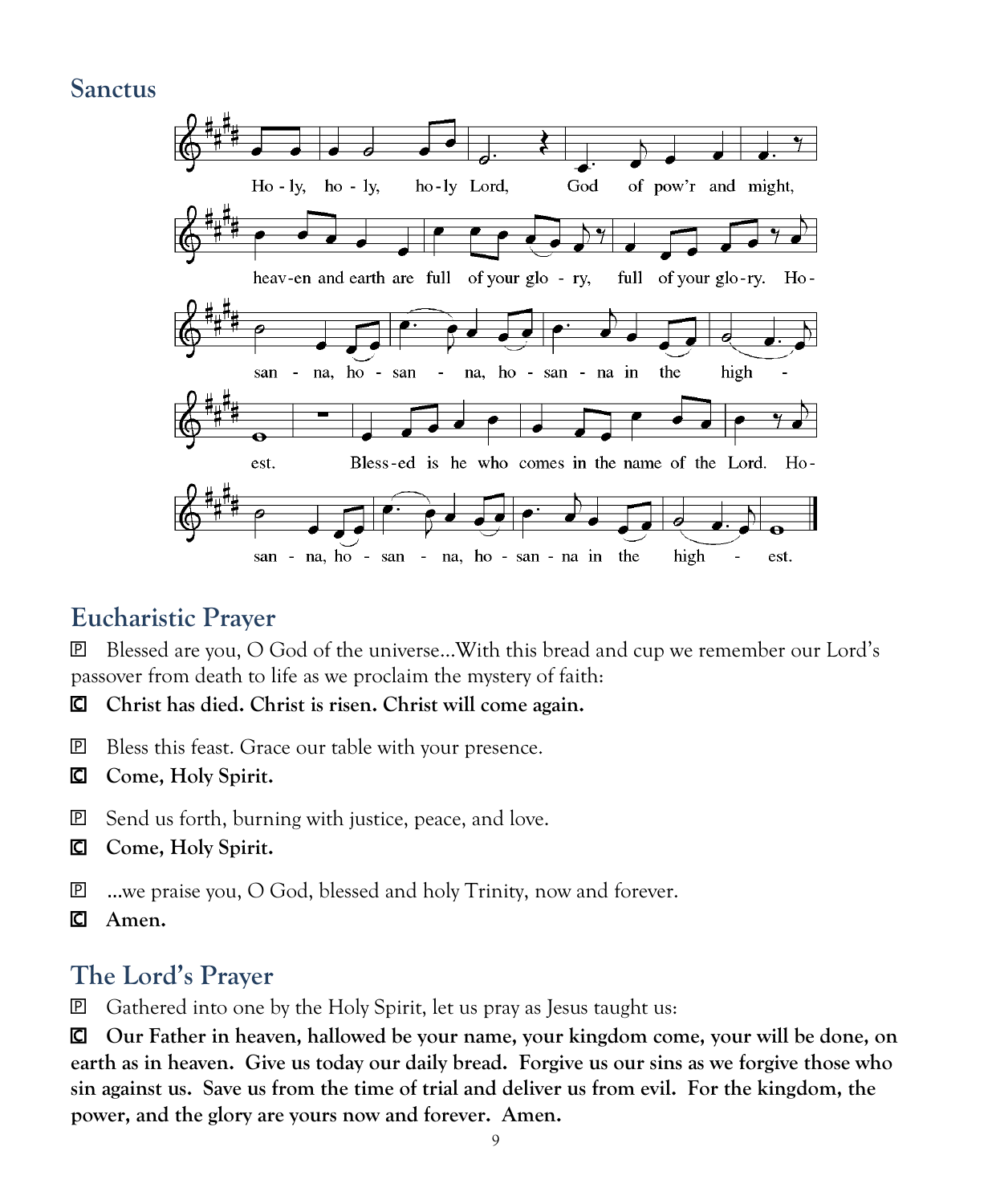#### **Sanctus**



## **Eucharistic Prayer**

 Blessed are you, O God of the universe…With this bread and cup we remember our Lord's passover from death to life as we proclaim the mystery of faith:

- **Christ has died. Christ is risen. Christ will come again.**
- **P** Bless this feast. Grace our table with your presence.
- **Come, Holy Spirit.**
- **P** Send us forth, burning with justice, peace, and love.
- **Come, Holy Spirit.**
- …we praise you, O God, blessed and holy Trinity, now and forever.
- **Amen.**

## **The Lord's Prayer**

Gathered into one by the Holy Spirit, let us pray as Jesus taught us:

 **Our Father in heaven, hallowed be your name, your kingdom come, your will be done, on earth as in heaven. Give us today our daily bread. Forgive us our sins as we forgive those who sin against us. Save us from the time of trial and deliver us from evil. For the kingdom, the power, and the glory are yours now and forever. Amen.**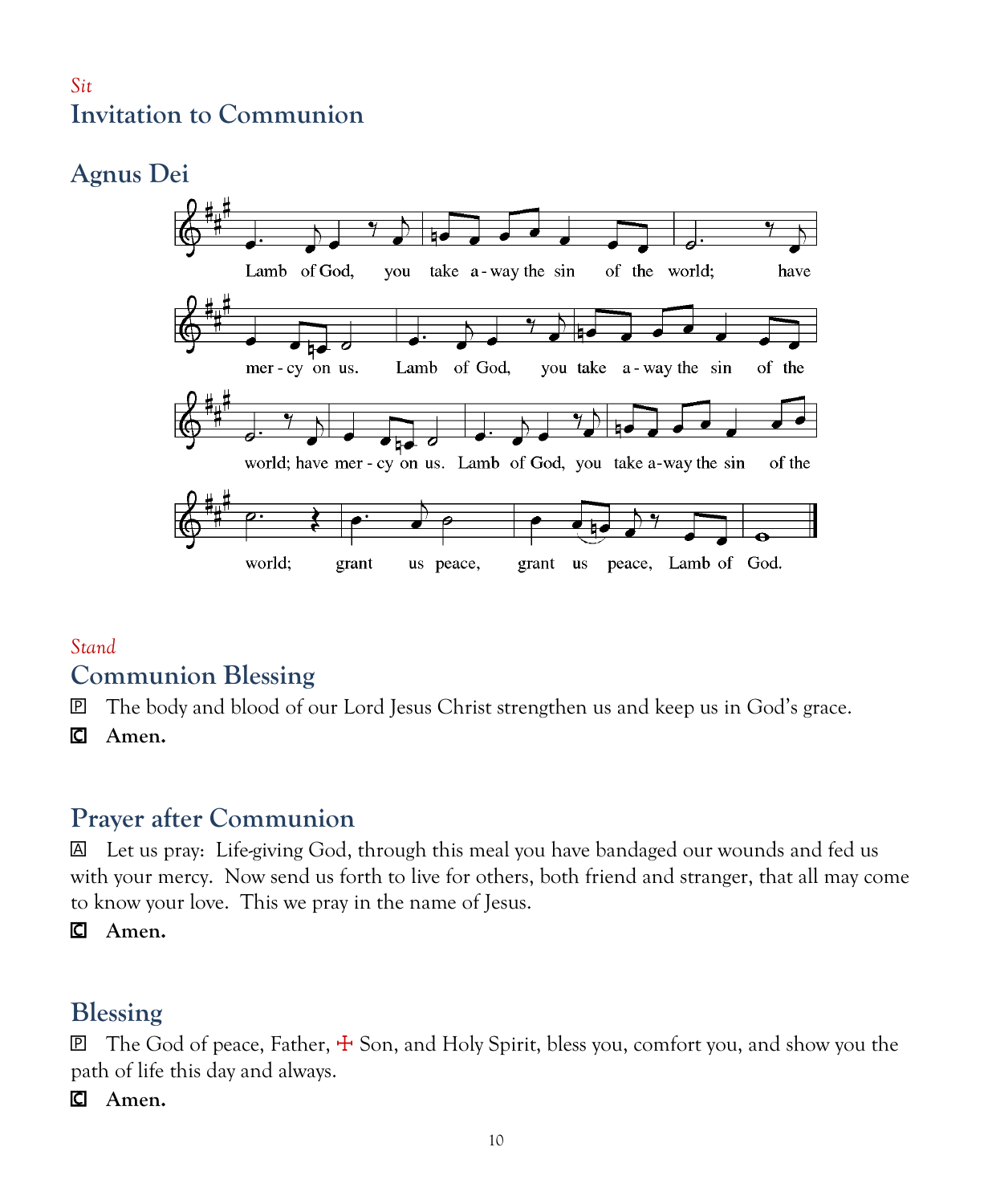#### *Sit* **Invitation to Communion**

# **Agnus Dei**



#### *Stand* **Communion Blessing**

The body and blood of our Lord Jesus Christ strengthen us and keep us in God's grace.

**Amen.**

# **Prayer after Communion**

 Let us pray: Life-giving God, through this meal you have bandaged our wounds and fed us with your mercy. Now send us forth to live for others, both friend and stranger, that all may come to know your love. This we pray in the name of Jesus.

**Amen.**

# **Blessing**

 $\mathbb E$  The God of peace, Father,  $\pm$  Son, and Holy Spirit, bless you, comfort you, and show you the path of life this day and always.

**Amen.**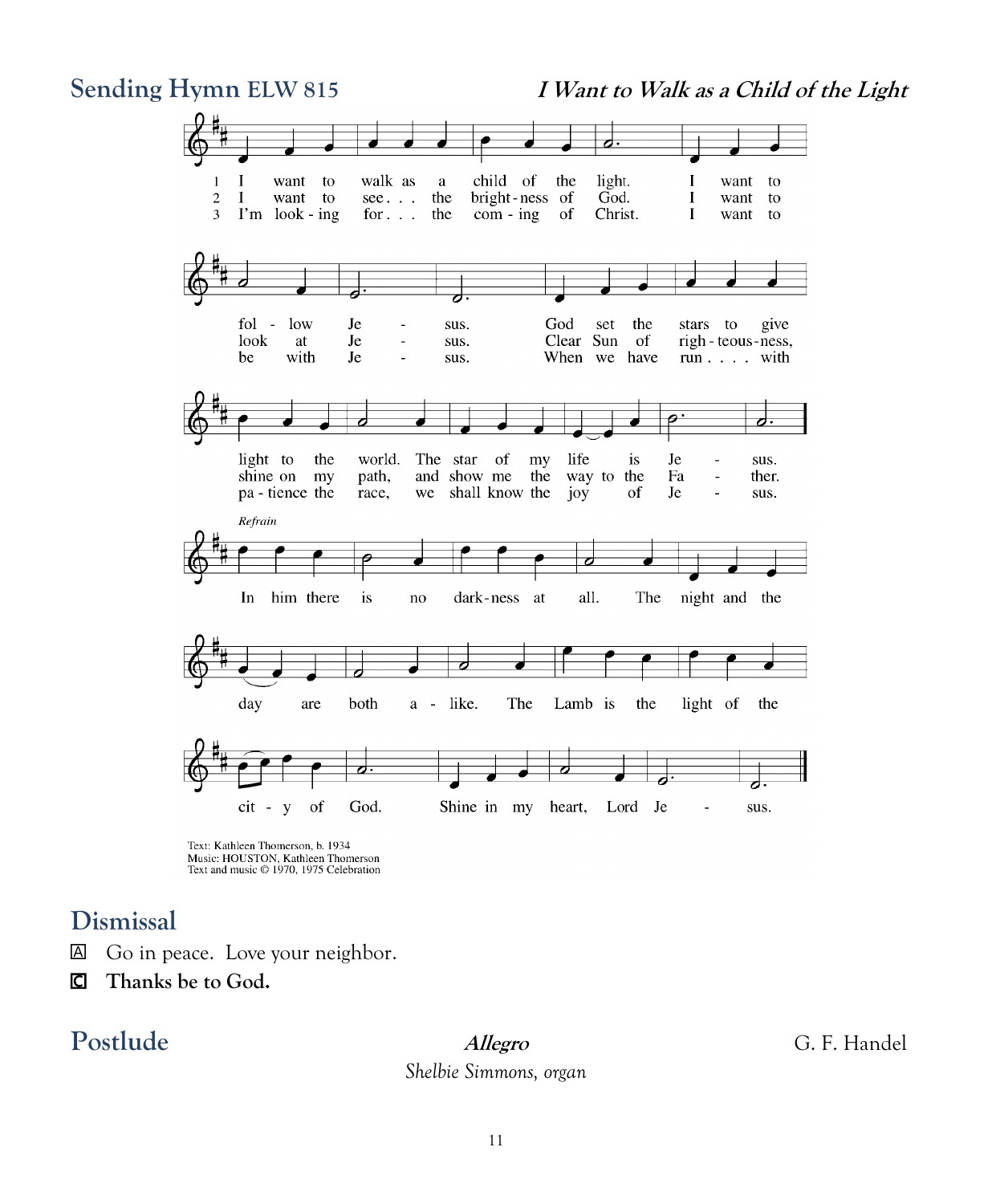**Sending Hymn ELW 815 I Want to Walk as a Child of the Light** d I want to walk as a child of the light. want  $\mathbf{1}$ I to  $\overline{c}$  $\bf{I}$ want to  $see. . .$ the bright-ness of God.  $\bf{I}$ want to  $\overline{3}$ I'm look - ing for  $\ldots$ the  $com - ing$ of Christ.  $\mathbf{I}$ want to ಕ fol - low Je God the give  $\overline{a}$ sus. set stars to look Clear Sun at Je  $\overline{\phantom{a}}$ sus. of righ - teous - ness, be with Je sus. When we have run . . . . with <u>d.</u> light to the world. The star of life my is Je sus. ÷, shine on my path, and show me the way to the Fa ther. Ĭ. pa - tience the race, we shall know the joy of  $_{\rm Je}$  $\overline{a}$ sus. Refrain him there all. The night and the In is  $\mathbf{n}\mathbf{o}$ dark-ness at ਰ day are both a - like. The Lamb is the light of the  $cit - y$ of God. Shine in my heart, Lord Je sus. ÷,

### **Dismissal**

- Go in peace. Love your neighbor.
- **Thanks be to God.**

# **Postlude Allegro** G. F. Handel

*Shelbie Simmons, organ*

Text: Kathleen Thomerson, b. 1934 Music: HOUSTON, Kathleen Thomerson<br>Text and music © 1970, 1975 Celebration